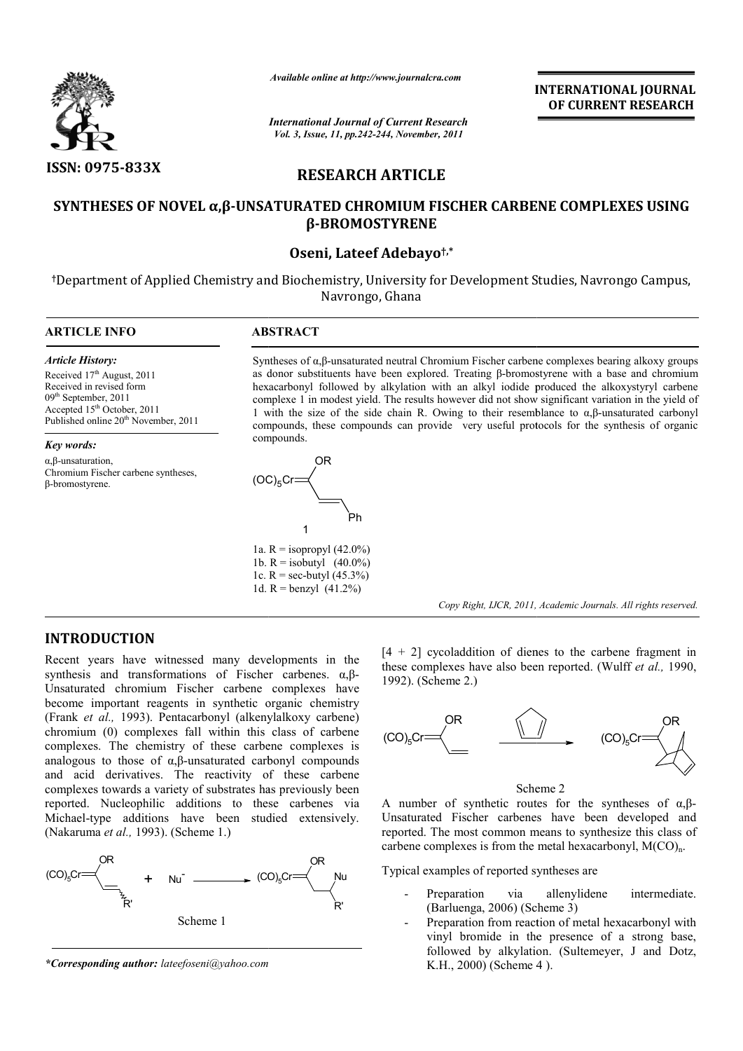

*Available online at http://www.journalcra.com*

*International Journal of Current Research Vol. 3, Issue, 11, pp.242-244, November, 2011*

**INTERNATIONAL INTERNATIONAL JOURNAL OF CURRENT RESEARCH** 

# **RESEARCH ARTICLE**

# **SYNTHESES OF NOVEL α,β-UNSATURATED CHROMIUM FISCHER CARBENE COMPLEXES USING UNSATURATED β-BROMOSTYRENE**

### **Oseni, Lateef Adebayo†,\***

**†**Department of Applied Chemistry and Biochemistry, University for Development Studies, Navrongo Campus, Navrongo, Ghana  $\overline{a}$ 

#### **ARTICLE INFO ABSTRACT**

*Article History:* Received 17<sup>th</sup> August, 2011 Received in revised form 09th September, 2011 Accepted 15<sup>th</sup> October, 2011 Published online 20<sup>th</sup> November, 2011

*Key words:* α,β-unsaturation, Chromium Fischer carbene syntheses, β-bromostyrene.



Syntheses of  $\alpha$ ,β-unsaturated neutral Chromium Fischer carbene complexes bearing alkoxy groups as donor substituents have been explored. Treating β β-bromostyrene with a base and chromium hexacarbonyl followed by alkylation with an alkyl iodide produced the alkoxystyryl carbene complexe 1 in modest yield. The results however did not show significant variation in the yield of 1 with the size of the side chain R. Owing to their resemblance to  $α, β$ -unsaturated carbonyl compounds, these compounds can provide very useful protocols for the synthesis of organic compounds. bstituents have been explored. Treating  $\beta$ -bromostyrene with a base and chromium *i*l followed by alkylation with an alkyl iodide produced the alkoxystyryl carbene in modest yield. The results however did not show signi

**INTRODUCTION**

Recent years have witnessed many developments in the synthesis and transformations of Fischer carbenes.  $\alpha, \beta$ -Unsaturated chromium Fischer carbene complexes have become important reagents in synthetic organic chemistry (Frank *et al.,* 1993). Pentacarbonyl (alkenylalkoxy carbene) chromium (0) complexes fall within this class of carbene complexes. The chemistry of these carbene complexes is analogous to those of  $\alpha$ ,  $\beta$ -unsaturated carbonyl compounds and acid derivatives. The reactivity of these carbene complexes towards a variety of substrates has previously been reported. Nucleophilic additions to these carbenes via Michael-type additions have been studied extensively. (Nakaruma *et al.,* 1993). (Scheme 1.) s to those of α,β-unsaturated<br>d derivatives. The reactivity<br>es towards a variety of substrate<br>Nucleophilic additions to<br>type additions have been



*\*Corresponding author: lateefoseni@yahoo.com*

 $[4 + 2]$  cycoladdition of dienes to the carbene fragment in  $[4 + 2]$  cycoladdition of dienes to the carbene fragment in these complexes have also been reported. (Wulff *et al.*, 1990, 1992). (Scheme 2.)

Copy Right, IJCR, 2011, Academic Journals. All rights reserved.



Scheme 2

A number of synthetic routes for the syntheses of  $\alpha, \beta$ -Unsaturated Fischer carbenes have been developed and reported. The most common means to synthesize this class of carbene complexes is from the metal hexacarbonyl,  $M(CO)<sub>n</sub>$ . er carbenes have been developed and<br>common means to synthesize this class of<br>is from the metal hexacarbonyl,  $M(CO)<sub>n</sub>$ .

Typical examples of reported syntheses are

- Preparation via allenylidene intermediate. (Barluenga, 2006) (Scheme 3)
- Preparation from reaction of metal hexacarbonyl with vinyl bromide in the presence of a strong base, followed by alkylation. (Sultemeyer, J and Dotz, K.H., 2000) (Scheme 4 ation via allenylidene intermediate.<br>
enga, 2006) (Scheme 3)<br>
ation from reaction of metal hexacarbonyl with<br>
bromide in the presence of a strong base,<br>
ed by alkylation. (Sultemeyer, J and Dotz,<br>
2000) (Scheme 4).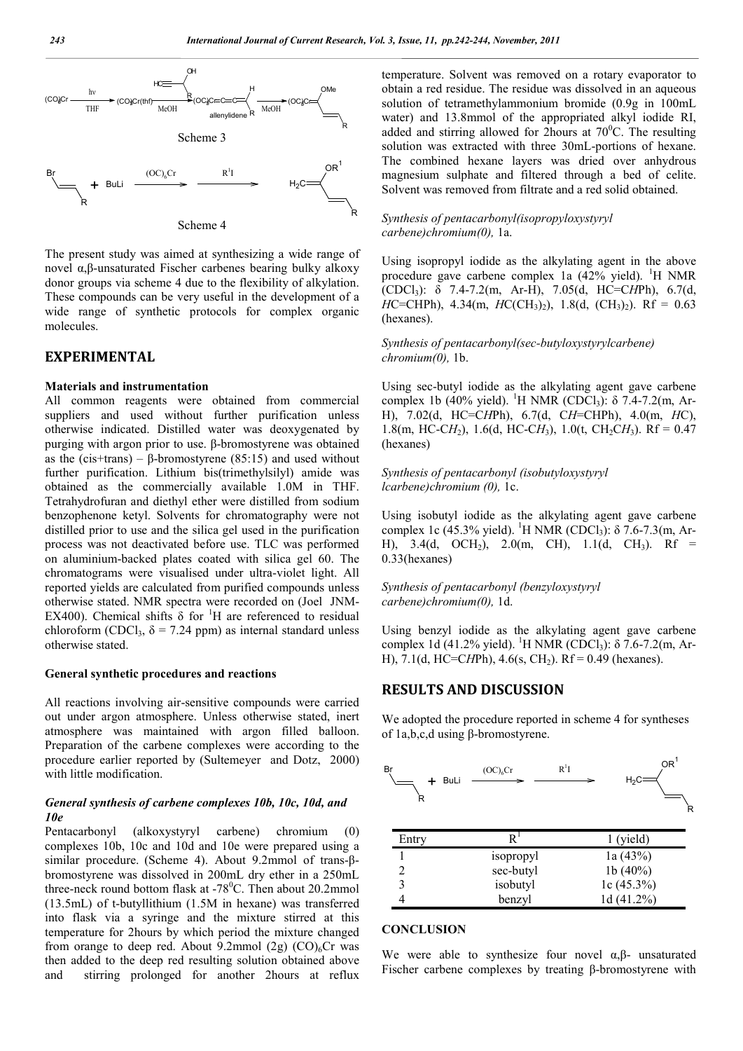

The present study was aimed at synthesizing a wide range of novel α,β-unsaturated Fischer carbenes bearing bulky alkoxy donor groups via scheme 4 due to the flexibility of alkylation. These compounds can be very useful in the development of a wide range of synthetic protocols for complex organic molecules.

## **EXPERIMENTAL**

#### **Materials and instrumentation**

All common reagents were obtained from commercial suppliers and used without further purification unless otherwise indicated. Distilled water was deoxygenated by purging with argon prior to use. β-bromostyrene was obtained as the (cis+trans) –  $\beta$ -bromostyrene (85:15) and used without further purification. Lithium bis(trimethylsilyl) amide was obtained as the commercially available 1.0M in THF. Tetrahydrofuran and diethyl ether were distilled from sodium benzophenone ketyl. Solvents for chromatography were not distilled prior to use and the silica gel used in the purification process was not deactivated before use. TLC was performed on aluminium-backed plates coated with silica gel 60. The chromatograms were visualised under ultra-violet light. All reported yields are calculated from purified compounds unless otherwise stated. NMR spectra were recorded on (Joel JNM-EX400). Chemical shifts  $\delta$  for <sup>1</sup>H are referenced to residual chloroform (CDCl<sub>3</sub>,  $\delta$  = 7.24 ppm) as internal standard unless otherwise stated.

#### **General synthetic procedures and reactions**

All reactions involving air-sensitive compounds were carried out under argon atmosphere. Unless otherwise stated, inert atmosphere was maintained with argon filled balloon. Preparation of the carbene complexes were according to the procedure earlier reported by (Sultemeyer and Dotz, 2000) with little modification.

#### *General synthesis of carbene complexes 10b, 10c, 10d, and 10e*

Pentacarbonyl (alkoxystyryl carbene) chromium (0) complexes 10b, 10c and 10d and 10e were prepared using a similar procedure. (Scheme 4). About 9.2mmol of trans-βbromostyrene was dissolved in 200mL dry ether in a 250mL three-neck round bottom flask at  $-78^{\circ}$ C. Then about 20.2mmol (13.5mL) of t-butyllithium (1.5M in hexane) was transferred into flask via a syringe and the mixture stirred at this temperature for 2hours by which period the mixture changed from orange to deep red. About 9.2mmol  $(2g)$   $(CO)<sub>6</sub>Cr$  was then added to the deep red resulting solution obtained above and stirring prolonged for another 2hours at reflux

temperature. Solvent was removed on a rotary evaporator to obtain a red residue. The residue was dissolved in an aqueous solution of tetramethylammonium bromide (0.9g in 100mL water) and 13.8mmol of the appropriated alkyl iodide RI, added and stirring allowed for 2hours at  $70^{\circ}$ C. The resulting solution was extracted with three 30mL-portions of hexane. The combined hexane layers was dried over anhydrous magnesium sulphate and filtered through a bed of celite. Solvent was removed from filtrate and a red solid obtained.

#### *Synthesis of pentacarbonyl(isopropyloxystyryl carbene)chromium(0),* 1a.

Using isopropyl iodide as the alkylating agent in the above procedure gave carbene complex 1a (42% yield). <sup>1</sup>H NMR (CDCl3): δ 7.4-7.2(m, Ar-H), 7.05(d, HC=C*H*Ph), 6.7(d, *H*C=CHPh), 4.34(m, *H*C(CH<sub>3</sub>)<sub>2</sub>), 1.8(d, (CH<sub>3</sub>)<sub>2</sub>). Rf = 0.63 (hexanes).

*Synthesis of pentacarbonyl(sec-butyloxystyrylcarbene) chromium(0),* 1b.

Using sec-butyl iodide as the alkylating agent gave carbene complex 1b (40% yield). <sup>1</sup>H NMR (CDCl<sub>3</sub>): δ 7.4-7.2(m, Ar-H), 7.02(d, HC=C*H*Ph), 6.7(d, C*H*=CHPh), 4.0(m, *H*C), 1.8(m, HC-C $H_2$ ), 1.6(d, HC-C $H_3$ ), 1.0(t, CH<sub>2</sub>C $H_3$ ). Rf = 0.47 (hexanes)

*Synthesis of pentacarbonyl (isobutyloxystyryl lcarbene)chromium (0),* 1c.

Using isobutyl iodide as the alkylating agent gave carbene complex 1c (45.3% yield). <sup>1</sup>H NMR (CDCl<sub>3</sub>): δ 7.6-7.3(m, Ar-H),  $3.4(d, OCH<sub>2</sub>)$ ,  $2.0(m, CH)$ ,  $1.1(d, CH<sub>3</sub>)$ . Rf = 0.33(hexanes)

*Synthesis of pentacarbonyl (benzyloxystyryl carbene)chromium(0),* 1d.

Using benzyl iodide as the alkylating agent gave carbene complex 1d (41.2% yield). <sup>1</sup>H NMR (CDCl<sub>3</sub>): δ 7.6-7.2(m, Ar-H), 7.1(d, HC=CHPh), 4.6(s, CH<sub>2</sub>). Rf = 0.49 (hexanes).

#### **RESULTS AND DISCUSSION**

We adopted the procedure reported in scheme 4 for syntheses of 1a,b,c,d using β-bromostyrene.



| <b>Entry</b> | ĸ.        | 1 (yield)     |
|--------------|-----------|---------------|
|              | isopropyl | 1a(43%)       |
|              | sec-butyl | 1b $(40\%)$   |
|              | isobutyl  | 1c $(45.3\%)$ |
|              | benzyl    | 1d $(41.2\%)$ |
|              |           |               |

#### **CONCLUSION**

We were able to synthesize four novel  $\alpha$ , $\beta$ - unsaturated Fischer carbene complexes by treating β-bromostyrene with